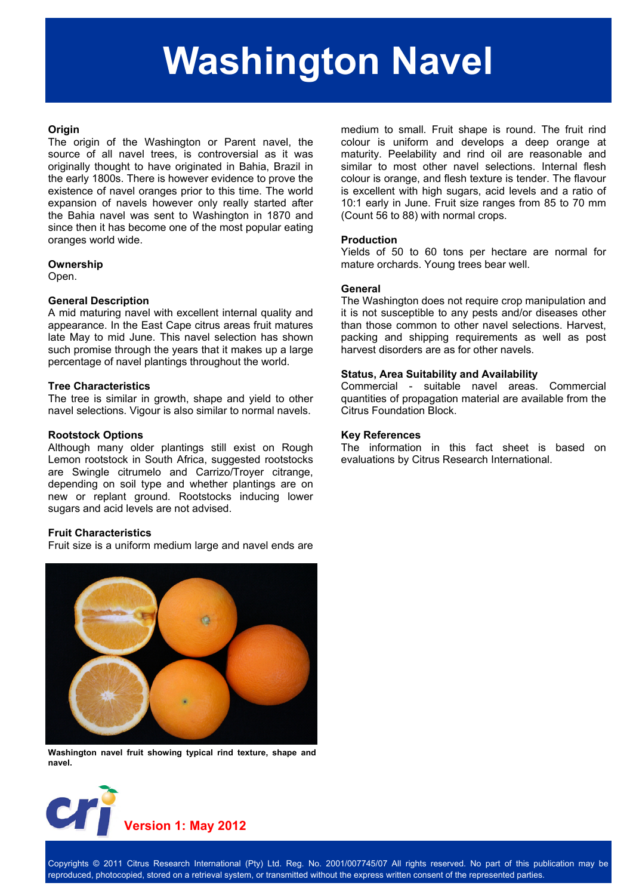# **Washington Navel**

## **Origin**

The origin of the Washington or Parent navel, the source of all navel trees, is controversial as it was originally thought to have originated in Bahia, Brazil in the early 1800s. There is however evidence to prove the existence of navel oranges prior to this time. The world expansion of navels however only really started after the Bahia navel was sent to Washington in 1870 and since then it has become one of the most popular eating oranges world wide.

#### **Ownership**

Open.

#### **General Description**

A mid maturing navel with excellent internal quality and appearance. In the East Cape citrus areas fruit matures late May to mid June. This navel selection has shown such promise through the years that it makes up a large percentage of navel plantings throughout the world.

# **Tree Characteristics**

The tree is similar in growth, shape and yield to other navel selections. Vigour is also similar to normal navels.

#### **Rootstock Options**

Although many older plantings still exist on Rough Lemon rootstock in South Africa, suggested rootstocks are Swingle citrumelo and Carrizo/Troyer citrange, depending on soil type and whether plantings are on new or replant ground. Rootstocks inducing lower sugars and acid levels are not advised.

# **Fruit Characteristics**

Fruit size is a uniform medium large and navel ends are



**Washington navel fruit showing typical rind texture, shape and navel.** 



medium to small. Fruit shape is round. The fruit rind colour is uniform and develops a deep orange at maturity. Peelability and rind oil are reasonable and similar to most other navel selections. Internal flesh colour is orange, and flesh texture is tender. The flavour is excellent with high sugars, acid levels and a ratio of 10:1 early in June. Fruit size ranges from 85 to 70 mm (Count 56 to 88) with normal crops.

#### **Production**

Yields of 50 to 60 tons per hectare are normal for mature orchards. Young trees bear well.

#### **General**

The Washington does not require crop manipulation and it is not susceptible to any pests and/or diseases other than those common to other navel selections. Harvest, packing and shipping requirements as well as post harvest disorders are as for other navels.

## **Status, Area Suitability and Availability**

Commercial - suitable navel areas. Commercial quantities of propagation material are available from the Citrus Foundation Block.

#### **Key References**

The information in this fact sheet is based on evaluations by Citrus Research International.